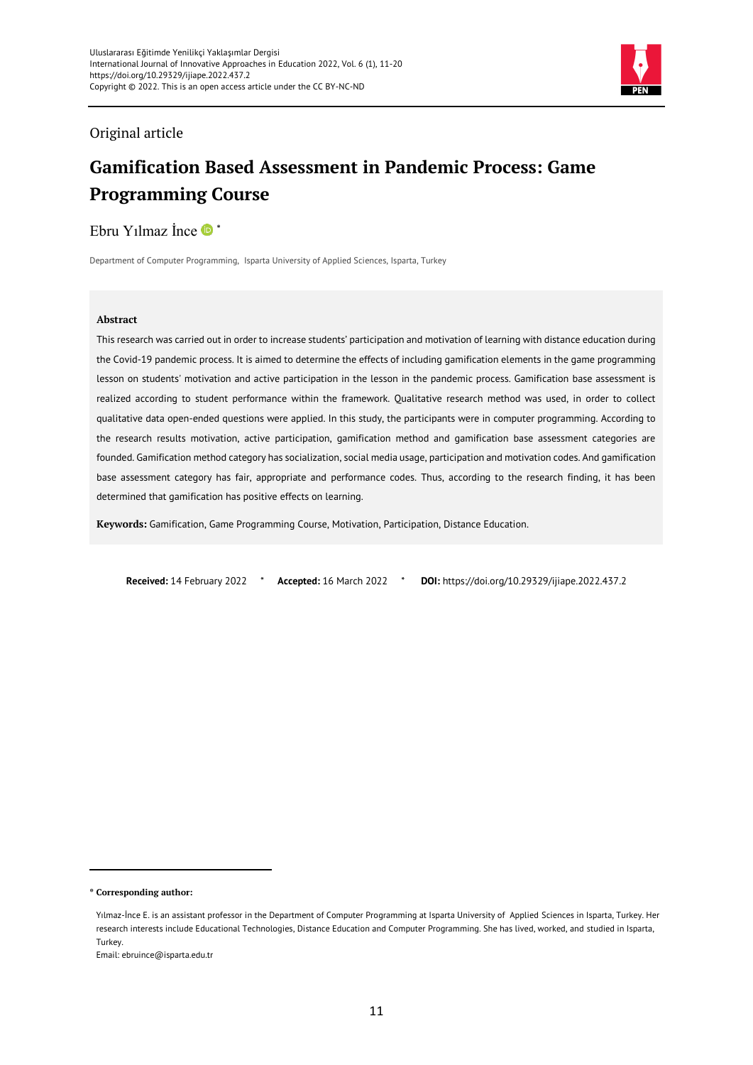

# Original article

# **Gamification Based Assessment in Pandemic Process: Game Programming Course**

Ebru Yılmaz İnce  $\bullet$  \*

Department of Computer Programming, Isparta University of Applied Sciences, Isparta, Turkey

#### **Abstract**

This research was carried out in order to increase students' participation and motivation of learning with distance education during the Covid-19 pandemic process. It is aimed to determine the effects of including gamification elements in the game programming lesson on students' motivation and active participation in the lesson in the pandemic process. Gamification base assessment is realized according to student performance within the framework. Qualitative research method was used, in order to collect qualitative data open-ended questions were applied. In this study, the participants were in computer programming. According to the research results motivation, active participation, gamification method and gamification base assessment categories are founded. Gamification method category has socialization, social media usage, participation and motivation codes. And gamification base assessment category has fair, appropriate and performance codes. Thus, according to the research finding, it has been determined that gamification has positive effects on learning.

**Keywords:** Gamification, Game Programming Course, Motivation, Participation, Distance Education.

**Received:** 14 February 2022 \* **Accepted:** 16 March 2022 \* **DOI:** https://doi.org/10.29329/ijiape.2022.437.2

 $\overline{a}$ 

**<sup>\*</sup> Corresponding author:**

Yılmaz-İnce E. is an assistant professor in the Department of Computer Programming at Isparta University of Applied Sciences in Isparta, Turkey. Her research interests include Educational Technologies, Distance Education and Computer Programming. She has lived, worked, and studied in Isparta, Turkey.

Email: ebruince@isparta.edu.tr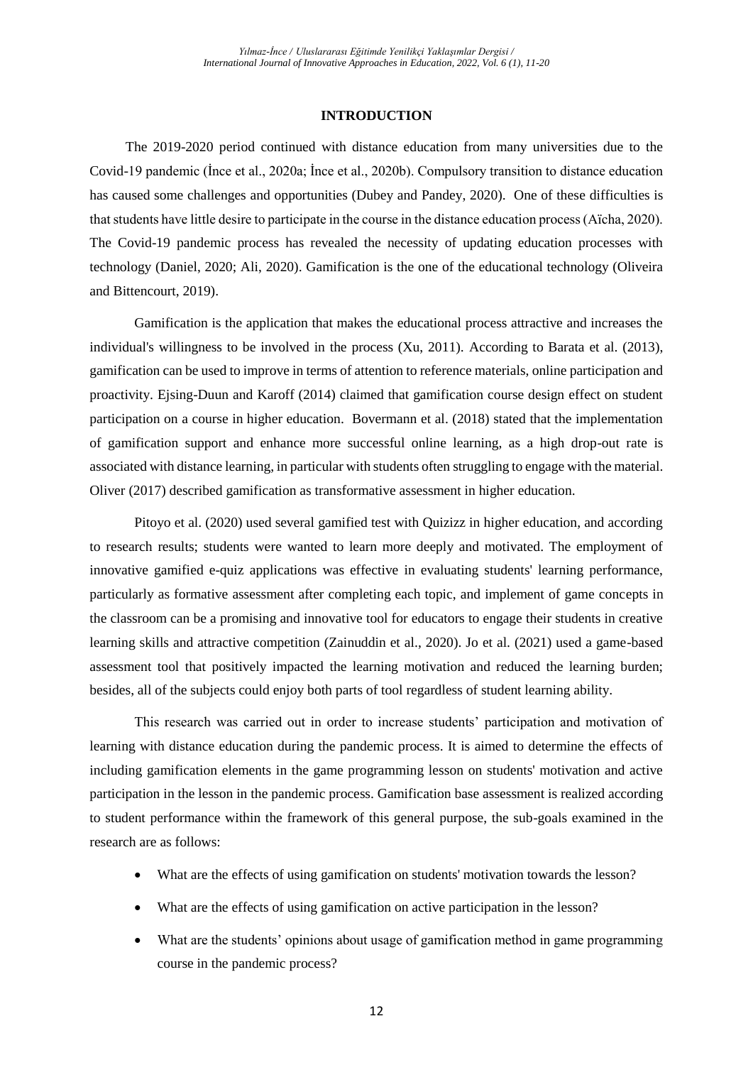### **INTRODUCTION**

The 2019-2020 period continued with distance education from many universities due to the Covid-19 pandemic (İnce et al., 2020a; İnce et al., 2020b). Compulsory transition to distance education has caused some challenges and opportunities (Dubey and Pandey, 2020). One of these difficulties is that students have little desire to participate in the course in the distance education process (Aïcha, 2020). The Covid-19 pandemic process has revealed the necessity of updating education processes with technology (Daniel, 2020; Ali, 2020). Gamification is the one of the educational technology (Oliveira and Bittencourt, 2019).

Gamification is the application that makes the educational process attractive and increases the individual's willingness to be involved in the process (Xu, 2011). According to Barata et al. (2013), gamification can be used to improve in terms of attention to reference materials, online participation and proactivity. Ejsing-Duun and Karoff (2014) claimed that gamification course design effect on student participation on a course in higher education. Bovermann et al. (2018) stated that the implementation of gamification support and enhance more successful online learning, as a high drop-out rate is associated with distance learning, in particular with students often struggling to engage with the material. Oliver (2017) described gamification as transformative assessment in higher education.

Pitoyo et al. (2020) used several gamified test with Quizizz in higher education, and according to research results; students were wanted to learn more deeply and motivated. The employment of innovative gamified e-quiz applications was effective in evaluating students' learning performance, particularly as formative assessment after completing each topic, and implement of game concepts in the classroom can be a promising and innovative tool for educators to engage their students in creative learning skills and attractive competition (Zainuddin et al., 2020). Jo et al. (2021) used a game-based assessment tool that positively impacted the learning motivation and reduced the learning burden; besides, all of the subjects could enjoy both parts of tool regardless of student learning ability.

This research was carried out in order to increase students' participation and motivation of learning with distance education during the pandemic process. It is aimed to determine the effects of including gamification elements in the game programming lesson on students' motivation and active participation in the lesson in the pandemic process. Gamification base assessment is realized according to student performance within the framework of this general purpose, the sub-goals examined in the research are as follows:

- What are the effects of using gamification on students' motivation towards the lesson?
- What are the effects of using gamification on active participation in the lesson?
- What are the students' opinions about usage of gamification method in game programming course in the pandemic process?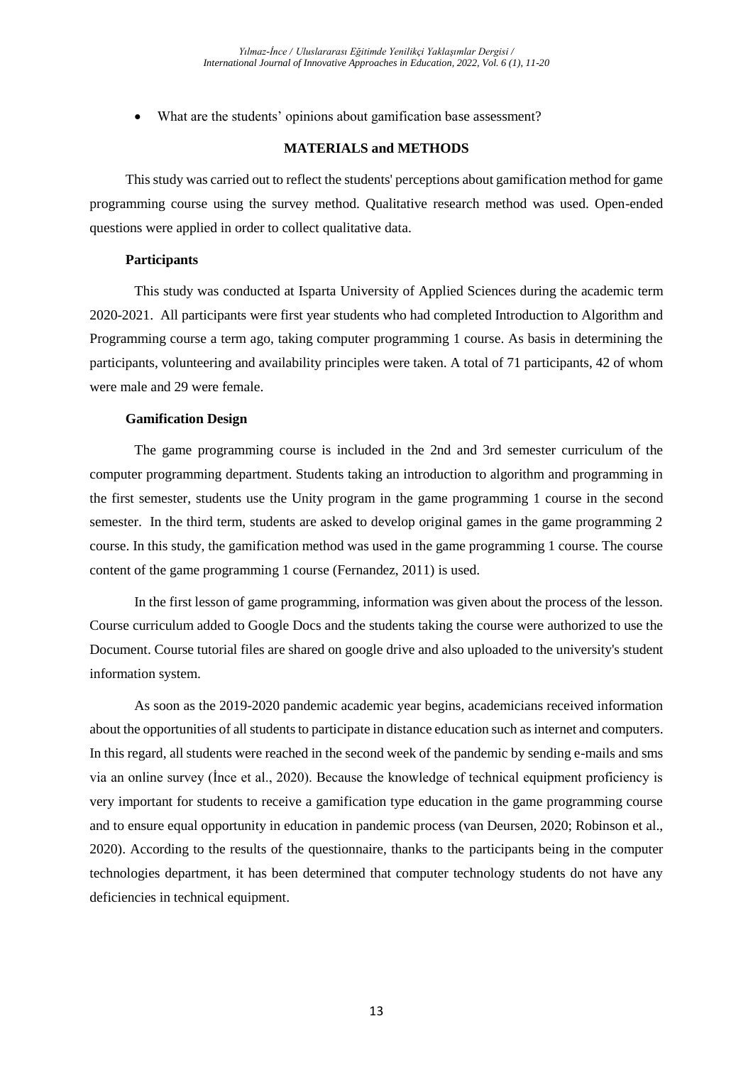What are the students' opinions about gamification base assessment?

## **MATERIALS and METHODS**

This study was carried out to reflect the students' perceptions about gamification method for game programming course using the survey method. Qualitative research method was used. Open-ended questions were applied in order to collect qualitative data.

### **Participants**

This study was conducted at Isparta University of Applied Sciences during the academic term 2020-2021. All participants were first year students who had completed Introduction to Algorithm and Programming course a term ago, taking computer programming 1 course. As basis in determining the participants, volunteering and availability principles were taken. A total of 71 participants, 42 of whom were male and 29 were female.

### **Gamification Design**

The game programming course is included in the 2nd and 3rd semester curriculum of the computer programming department. Students taking an introduction to algorithm and programming in the first semester, students use the Unity program in the game programming 1 course in the second semester. In the third term, students are asked to develop original games in the game programming 2 course. In this study, the gamification method was used in the game programming 1 course. The course content of the game programming 1 course (Fernandez, 2011) is used.

In the first lesson of game programming, information was given about the process of the lesson. Course curriculum added to Google Docs and the students taking the course were authorized to use the Document. Course tutorial files are shared on google drive and also uploaded to the university's student information system.

As soon as the 2019-2020 pandemic academic year begins, academicians received information about the opportunities of all students to participate in distance education such as internet and computers. In this regard, all students were reached in the second week of the pandemic by sending e-mails and sms via an online survey (İnce et al., 2020). Because the knowledge of technical equipment proficiency is very important for students to receive a gamification type education in the game programming course and to ensure equal opportunity in education in pandemic process (van Deursen, 2020; Robinson et al., 2020). According to the results of the questionnaire, thanks to the participants being in the computer technologies department, it has been determined that computer technology students do not have any deficiencies in technical equipment.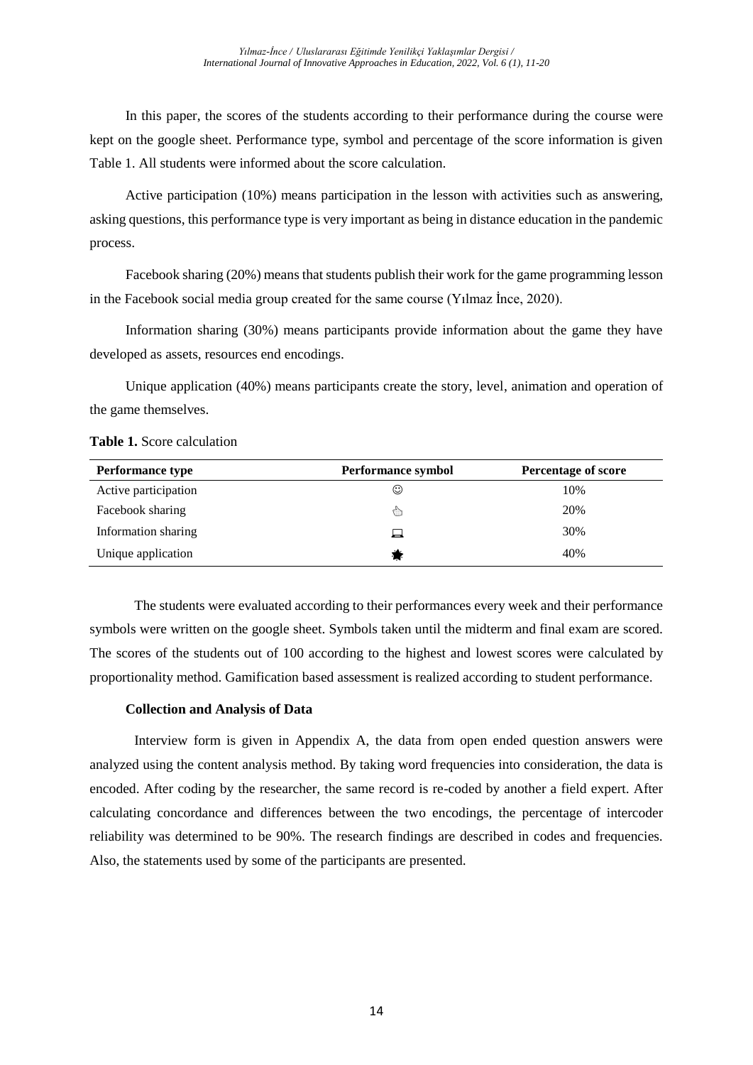In this paper, the scores of the students according to their performance during the course were kept on the google sheet. Performance type, symbol and percentage of the score information is given Table 1. All students were informed about the score calculation.

Active participation (10%) means participation in the lesson with activities such as answering, asking questions, this performance type is very important as being in distance education in the pandemic process.

Facebook sharing (20%) means that students publish their work for the game programming lesson in the Facebook social media group created for the same course (Yılmaz İnce, 2020).

Information sharing (30%) means participants provide information about the game they have developed as assets, resources end encodings.

Unique application (40%) means participants create the story, level, animation and operation of the game themselves.

**Table 1.** Score calculation

| <b>Performance type</b> | <b>Performance symbol</b> | <b>Percentage of score</b> |
|-------------------------|---------------------------|----------------------------|
| Active participation    | ☺                         | 10%                        |
| Facebook sharing        | ौ                         | 20%                        |
| Information sharing     | ⊔                         | 30%                        |
| Unique application      |                           | 40%                        |

The students were evaluated according to their performances every week and their performance symbols were written on the google sheet. Symbols taken until the midterm and final exam are scored. The scores of the students out of 100 according to the highest and lowest scores were calculated by proportionality method. Gamification based assessment is realized according to student performance.

# **Collection and Analysis of Data**

Interview form is given in Appendix A, the data from open ended question answers were analyzed using the content analysis method. By taking word frequencies into consideration, the data is encoded. After coding by the researcher, the same record is re-coded by another a field expert. After calculating concordance and differences between the two encodings, the percentage of intercoder reliability was determined to be 90%. The research findings are described in codes and frequencies. Also, the statements used by some of the participants are presented.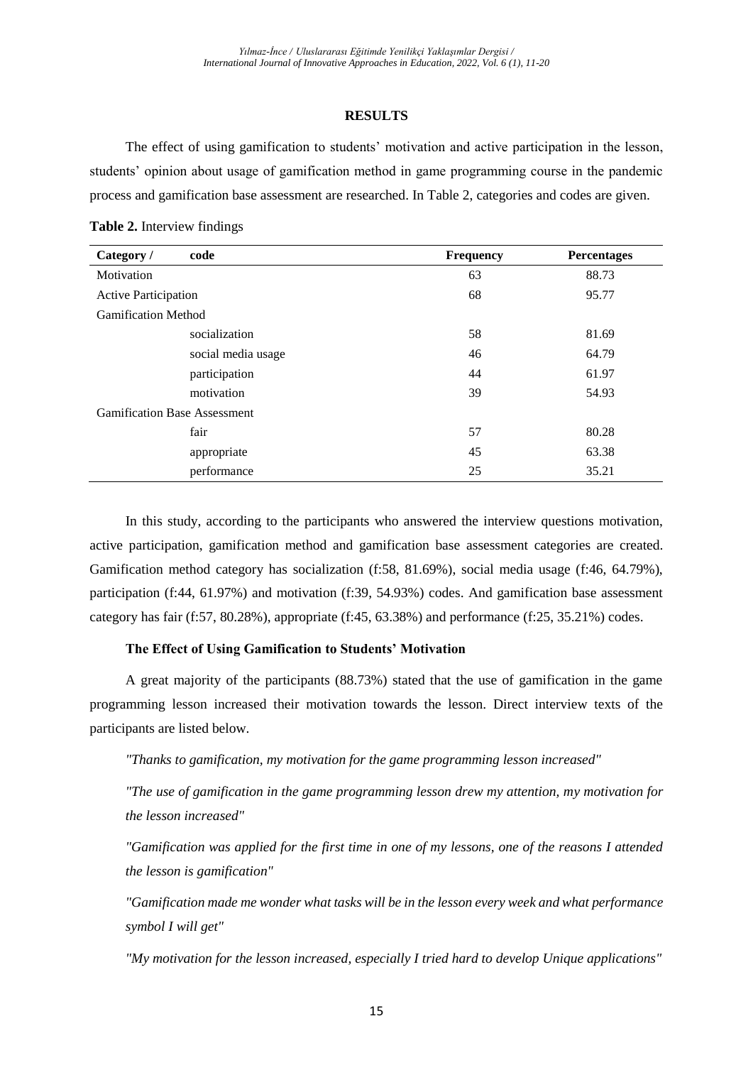### **RESULTS**

The effect of using gamification to students' motivation and active participation in the lesson, students' opinion about usage of gamification method in game programming course in the pandemic process and gamification base assessment are researched. In Table 2, categories and codes are given.

| Category /                          | code               | Frequency | <b>Percentages</b> |
|-------------------------------------|--------------------|-----------|--------------------|
| Motivation                          |                    | 63        | 88.73              |
| <b>Active Participation</b>         |                    | 68        | 95.77              |
| <b>Gamification Method</b>          |                    |           |                    |
|                                     | socialization      | 58        | 81.69              |
|                                     | social media usage | 46        | 64.79              |
|                                     | participation      | 44        | 61.97              |
|                                     | motivation         | 39        | 54.93              |
| <b>Gamification Base Assessment</b> |                    |           |                    |
|                                     | fair               | 57        | 80.28              |
|                                     | appropriate        | 45        | 63.38              |
|                                     | performance        | 25        | 35.21              |

In this study, according to the participants who answered the interview questions motivation, active participation, gamification method and gamification base assessment categories are created. Gamification method category has socialization (f:58, 81.69%), social media usage (f:46, 64.79%), participation (f:44, 61.97%) and motivation (f:39, 54.93%) codes. And gamification base assessment category has fair (f:57, 80.28%), appropriate (f:45,  $63.38\%$ ) and performance (f:25,  $35.21\%$ ) codes.

### **The Effect of Using Gamification to Students' Motivation**

A great majority of the participants (88.73%) stated that the use of gamification in the game programming lesson increased their motivation towards the lesson. Direct interview texts of the participants are listed below.

*"Thanks to gamification, my motivation for the game programming lesson increased"* 

*"The use of gamification in the game programming lesson drew my attention, my motivation for the lesson increased"* 

*"Gamification was applied for the first time in one of my lessons, one of the reasons I attended the lesson is gamification"* 

*"Gamification made me wonder what tasks will be in the lesson every week and what performance symbol I will get"* 

*"My motivation for the lesson increased, especially I tried hard to develop Unique applications"*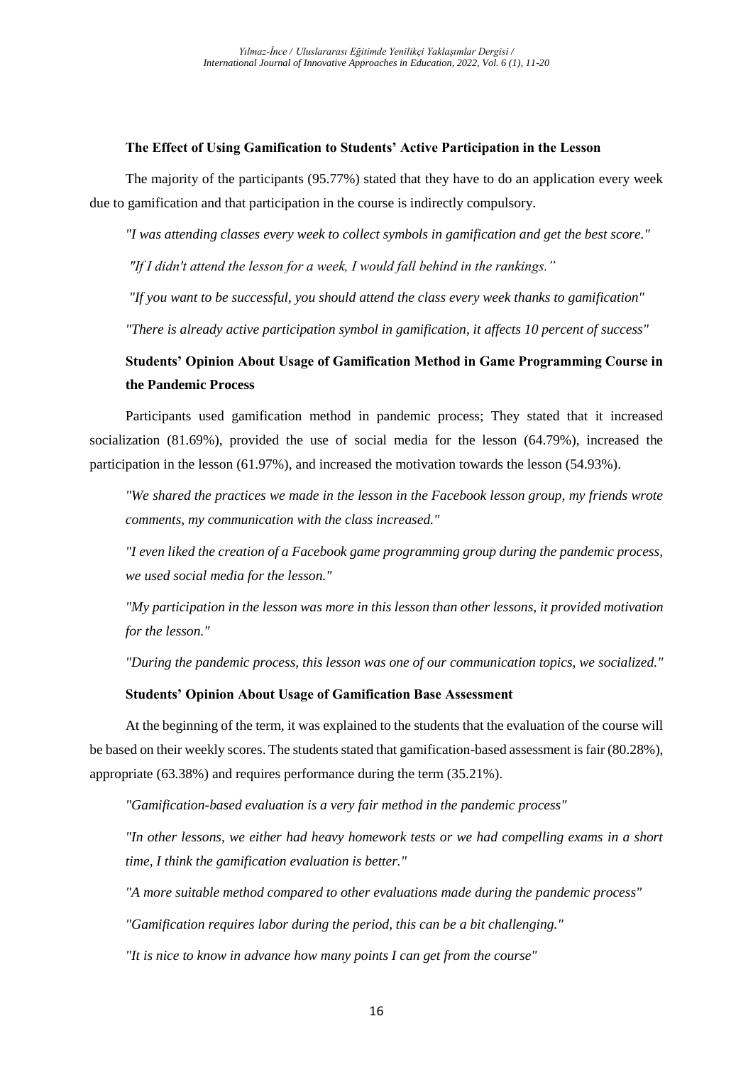# **The Effect of Using Gamification to Students' Active Participation in the Lesson**

The majority of the participants (95.77%) stated that they have to do an application every week due to gamification and that participation in the course is indirectly compulsory.

*"I was attending classes every week to collect symbols in gamification and get the best score."*

*"If I didn't attend the lesson for a week, I would fall behind in the rankings."*

*"If you want to be successful, you should attend the class every week thanks to gamification"* 

*"There is already active participation symbol in gamification, it affects 10 percent of success"*

# **Students' Opinion About Usage of Gamification Method in Game Programming Course in the Pandemic Process**

Participants used gamification method in pandemic process; They stated that it increased socialization (81.69%), provided the use of social media for the lesson (64.79%), increased the participation in the lesson (61.97%), and increased the motivation towards the lesson (54.93%).

*"We shared the practices we made in the lesson in the Facebook lesson group, my friends wrote comments, my communication with the class increased."* 

*"I even liked the creation of a Facebook game programming group during the pandemic process, we used social media for the lesson."* 

*"My participation in the lesson was more in this lesson than other lessons, it provided motivation for the lesson."* 

*"During the pandemic process, this lesson was one of our communication topics, we socialized."*

# **Students' Opinion About Usage of Gamification Base Assessment**

At the beginning of the term, it was explained to the students that the evaluation of the course will be based on their weekly scores. The students stated that gamification-based assessment is fair (80.28%), appropriate (63.38%) and requires performance during the term (35.21%).

*"Gamification-based evaluation is a very fair method in the pandemic process"* 

*"In other lessons, we either had heavy homework tests or we had compelling exams in a short time, I think the gamification evaluation is better."* 

*"A more suitable method compared to other evaluations made during the pandemic process"* 

*"Gamification requires labor during the period, this can be a bit challenging."* 

*"It is nice to know in advance how many points I can get from the course"*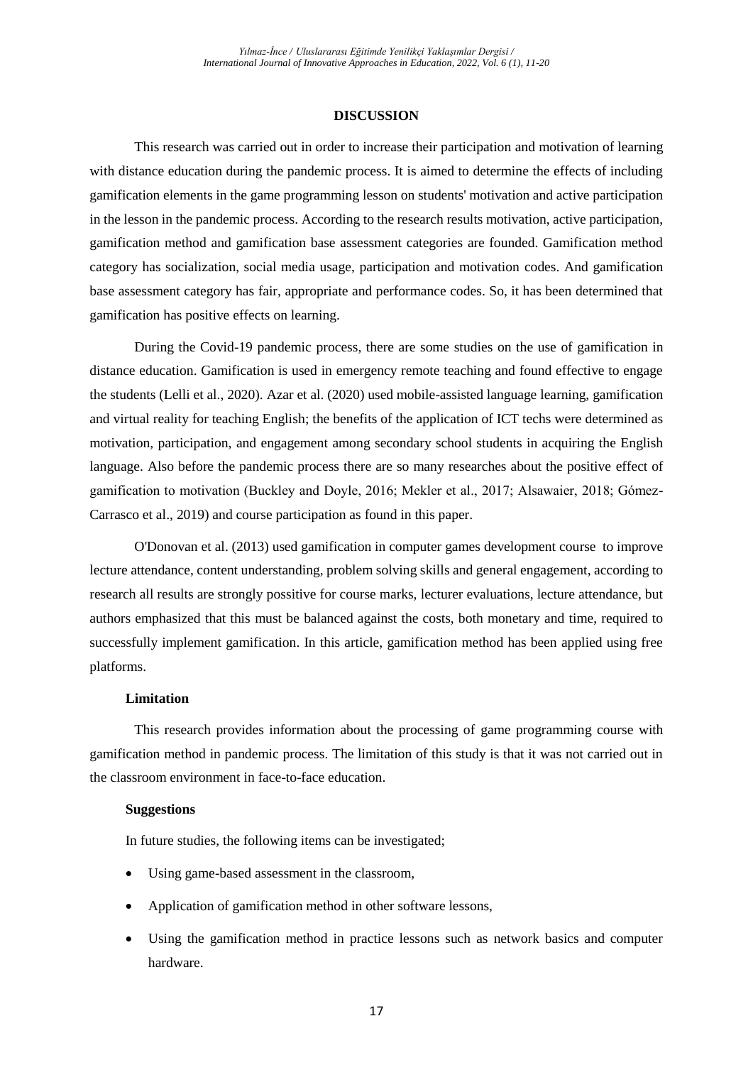### **DISCUSSION**

This research was carried out in order to increase their participation and motivation of learning with distance education during the pandemic process. It is aimed to determine the effects of including gamification elements in the game programming lesson on students' motivation and active participation in the lesson in the pandemic process. According to the research results motivation, active participation, gamification method and gamification base assessment categories are founded. Gamification method category has socialization, social media usage, participation and motivation codes. And gamification base assessment category has fair, appropriate and performance codes. So, it has been determined that gamification has positive effects on learning.

During the Covid-19 pandemic process, there are some studies on the use of gamification in distance education. Gamification is used in emergency remote teaching and found effective to engage the students (Lelli et al., 2020). Azar et al. (2020) used mobile-assisted language learning, gamification and virtual reality for teaching English; the benefits of the application of ICT techs were determined as motivation, participation, and engagement among secondary school students in acquiring the English language. Also before the pandemic process there are so many researches about the positive effect of gamification to motivation (Buckley and Doyle, 2016; Mekler et al., 2017; Alsawaier, 2018; Gómez-Carrasco et al., 2019) and course participation as found in this paper.

O'Donovan et al. (2013) used gamification in computer games development course to improve lecture attendance, content understanding, problem solving skills and general engagement, according to research all results are strongly possitive for course marks, lecturer evaluations, lecture attendance, but authors emphasized that this must be balanced against the costs, both monetary and time, required to successfully implement gamification. In this article, gamification method has been applied using free platforms.

### **Limitation**

This research provides information about the processing of game programming course with gamification method in pandemic process. The limitation of this study is that it was not carried out in the classroom environment in face-to-face education.

### **Suggestions**

In future studies, the following items can be investigated;

- Using game-based assessment in the classroom,
- Application of gamification method in other software lessons,
- Using the gamification method in practice lessons such as network basics and computer hardware.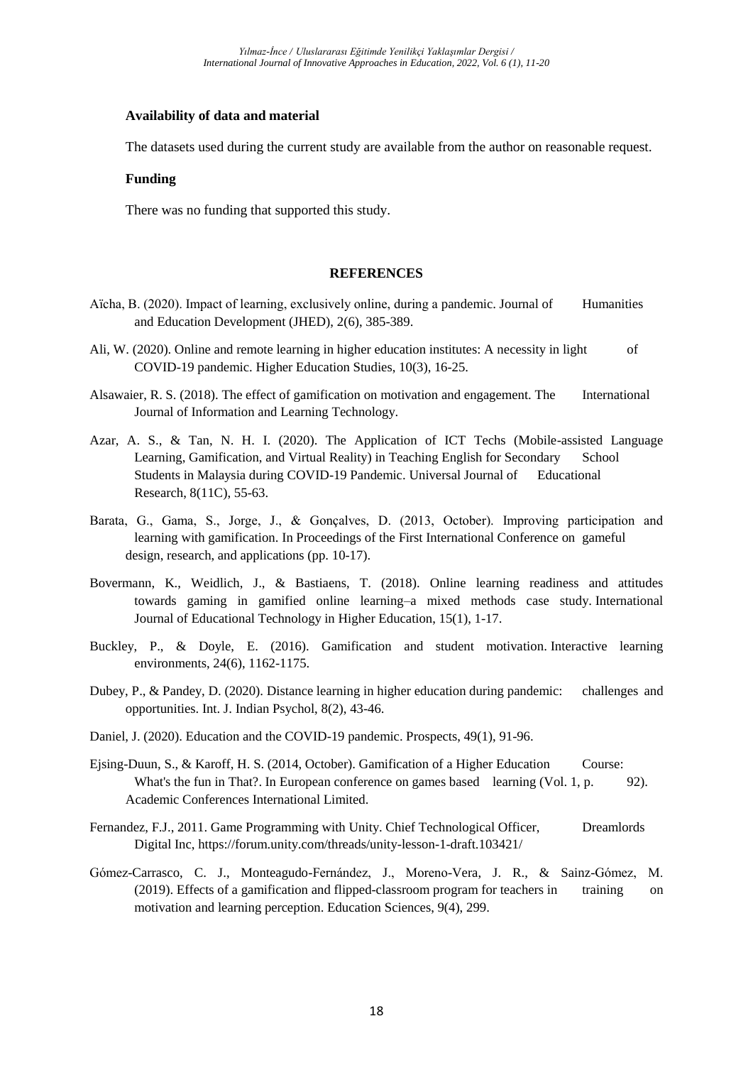# **Availability of data and material**

The datasets used during the current study are available from the author on reasonable request.

# **Funding**

There was no funding that supported this study.

### **REFERENCES**

- Aïcha, B. (2020). Impact of learning, exclusively online, during a pandemic. Journal of Humanities and Education Development (JHED), 2(6), 385-389.
- Ali, W. (2020). Online and remote learning in higher education institutes: A necessity in light of COVID-19 pandemic. Higher Education Studies, 10(3), 16-25.
- Alsawaier, R. S. (2018). The effect of gamification on motivation and engagement. The International Journal of Information and Learning Technology.
- Azar, A. S., & Tan, N. H. I. (2020). The Application of ICT Techs (Mobile-assisted Language Learning, Gamification, and Virtual Reality) in Teaching English for Secondary School Students in Malaysia during COVID-19 Pandemic. Universal Journal of Educational Research, 8(11C), 55-63.
- Barata, G., Gama, S., Jorge, J., & Gonçalves, D. (2013, October). Improving participation and learning with gamification. In Proceedings of the First International Conference on gameful design, research, and applications (pp. 10-17).
- Bovermann, K., Weidlich, J., & Bastiaens, T. (2018). Online learning readiness and attitudes towards gaming in gamified online learning–a mixed methods case study. International Journal of Educational Technology in Higher Education, 15(1), 1-17.
- Buckley, P., & Doyle, E. (2016). Gamification and student motivation. Interactive learning environments, 24(6), 1162-1175.
- Dubey, P., & Pandey, D. (2020). Distance learning in higher education during pandemic: challenges and opportunities. Int. J. Indian Psychol, 8(2), 43-46.
- Daniel, J. (2020). Education and the COVID-19 pandemic. Prospects, 49(1), 91-96.
- Ejsing-Duun, S., & Karoff, H. S. (2014, October). Gamification of a Higher Education Course: What's the fun in That?. In European conference on games based learning (Vol. 1, p. 92). Academic Conferences International Limited.
- Fernandez, F.J., 2011. Game Programming with Unity. Chief Technological Officer, Dreamlords Digital Inc, https://forum.unity.com/threads/unity-lesson-1-draft.103421/
- Gómez-Carrasco, C. J., Monteagudo-Fernández, J., Moreno-Vera, J. R., & Sainz-Gómez, M. (2019). Effects of a gamification and flipped-classroom program for teachers in training on motivation and learning perception. Education Sciences, 9(4), 299.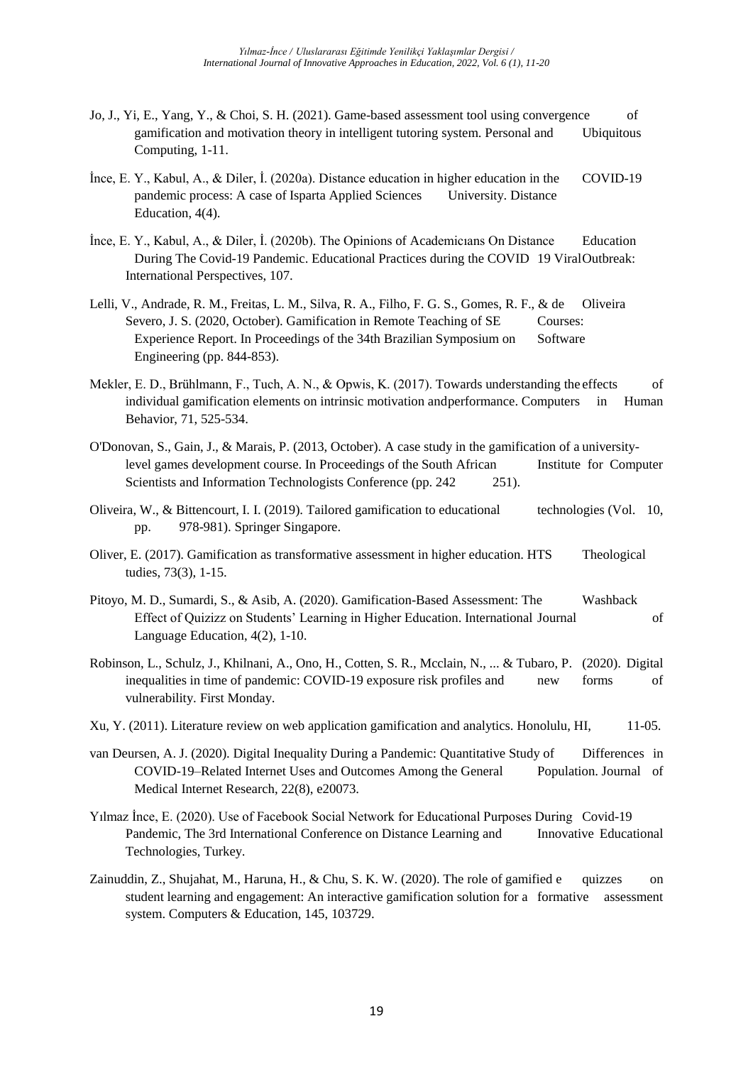- Jo, J., Yi, E., Yang, Y., & Choi, S. H. (2021). Game-based assessment tool using convergence of gamification and motivation theory in intelligent tutoring system. Personal and Ubiquitous Computing, 1-11.
- İnce, E. Y., Kabul, A., & Diler, İ. (2020a). Distance education in higher education in the COVID-19 pandemic process: A case of Isparta Applied Sciences University. Distance Education, 4(4).
- İnce, E. Y., Kabul, A., & Diler, İ. (2020b). The Opinions of Academicıans On Distance Education During The Covid-19 Pandemic. Educational Practices during the COVID 19 ViralOutbreak: International Perspectives, 107.
- Lelli, V., Andrade, R. M., Freitas, L. M., Silva, R. A., Filho, F. G. S., Gomes, R. F., & de Oliveira Severo, J. S. (2020, October). Gamification in Remote Teaching of SE Courses: Experience Report. In Proceedings of the 34th Brazilian Symposium on Software Engineering (pp. 844-853).
- Mekler, E. D., Brühlmann, F., Tuch, A. N., & Opwis, K. (2017). Towards understanding the effects of individual gamification elements on intrinsic motivation andperformance. Computers in Human Behavior, 71, 525-534.
- O'Donovan, S., Gain, J., & Marais, P. (2013, October). A case study in the gamification of a universitylevel games development course. In Proceedings of the South African Institute for Computer Scientists and Information Technologists Conference (pp. 242 251).
- Oliveira, W., & Bittencourt, I. I. (2019). Tailored gamification to educational technologies (Vol. 10, pp. 978-981). Springer Singapore.
- Oliver, E. (2017). Gamification as transformative assessment in higher education. HTS Theological tudies, 73(3), 1-15.
- Pitoyo, M. D., Sumardi, S., & Asib, A. (2020). Gamification-Based Assessment: The Washback Effect of Quizizz on Students' Learning in Higher Education. International Journal of Language Education, 4(2), 1-10.
- Robinson, L., Schulz, J., Khilnani, A., Ono, H., Cotten, S. R., Mcclain, N., ... & Tubaro, P. (2020). Digital inequalities in time of pandemic: COVID-19 exposure risk profiles and new forms of vulnerability. First Monday.
- Xu, Y. (2011). Literature review on web application gamification and analytics. Honolulu, HI, 11-05.
- van Deursen, A. J. (2020). Digital Inequality During a Pandemic: Quantitative Study of Differences in COVID-19–Related Internet Uses and Outcomes Among the General Population. Journal of Medical Internet Research, 22(8), e20073.
- Yılmaz İnce, E. (2020). Use of Facebook Social Network for Educational Purposes During Covid-19 Pandemic, The 3rd International Conference on Distance Learning and Innovative Educational Technologies, Turkey.
- Zainuddin, Z., Shujahat, M., Haruna, H., & Chu, S. K. W. (2020). The role of gamified e quizzes on student learning and engagement: An interactive gamification solution for a formative assessment system. Computers & Education, 145, 103729.